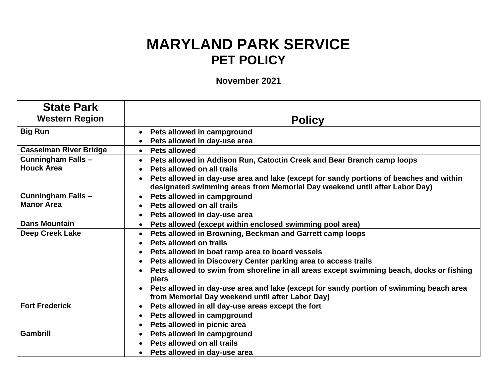## **MARYLAND PARK SERVICE PET POLICY**

**November 2021**

| <b>State Park</b>             |                                                                                          |
|-------------------------------|------------------------------------------------------------------------------------------|
| <b>Western Region</b>         | <b>Policy</b>                                                                            |
| <b>Big Run</b>                | Pets allowed in campground                                                               |
|                               | Pets allowed in day-use area                                                             |
| <b>Casselman River Bridge</b> | • Pets allowed                                                                           |
| <b>Cunningham Falls-</b>      | Pets allowed in Addison Run, Catoctin Creek and Bear Branch camp loops                   |
| <b>Houck Area</b>             | Pets allowed on all trails                                                               |
|                               | Pets allowed in day-use area and lake (except for sandy portions of beaches and within   |
|                               | designated swimming areas from Memorial Day weekend until after Labor Day)               |
| <b>Cunningham Falls-</b>      | Pets allowed in campground                                                               |
| <b>Manor Area</b>             | Pets allowed on all trails                                                               |
|                               | Pets allowed in day-use area                                                             |
| <b>Dans Mountain</b>          | Pets allowed (except within enclosed swimming pool area)                                 |
| <b>Deep Creek Lake</b>        | Pets allowed in Browning, Beckman and Garrett camp loops                                 |
|                               | Pets allowed on trails                                                                   |
|                               | Pets allowed in boat ramp area to board vessels                                          |
|                               | Pets allowed in Discovery Center parking area to access trails                           |
|                               | Pets allowed to swim from shoreline in all areas except swimming beach, docks or fishing |
|                               | piers                                                                                    |
|                               | Pets allowed in day-use area and lake (except for sandy portion of swimming beach area   |
|                               | from Memorial Day weekend until after Labor Day)                                         |
| <b>Fort Frederick</b>         | Pets allowed in all day-use areas except the fort                                        |
|                               | Pets allowed in campground                                                               |
|                               | Pets allowed in picnic area                                                              |
| <b>Gambrill</b>               | Pets allowed in campground                                                               |
|                               | Pets allowed on all trails                                                               |
|                               | Pets allowed in day-use area                                                             |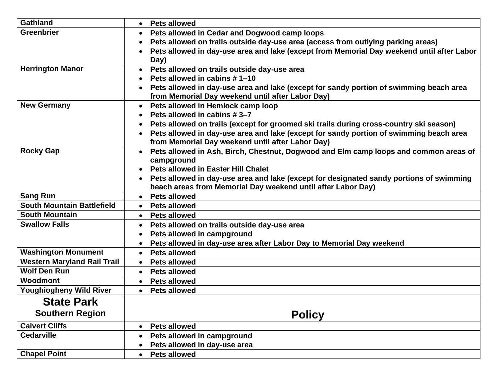| <b>Gathland</b>                    | <b>Pets allowed</b><br>$\bullet$                                                                                                                                     |
|------------------------------------|----------------------------------------------------------------------------------------------------------------------------------------------------------------------|
| <b>Greenbrier</b>                  | Pets allowed in Cedar and Dogwood camp loops                                                                                                                         |
|                                    | Pets allowed on trails outside day-use area (access from outlying parking areas)                                                                                     |
|                                    | Pets allowed in day-use area and lake (except from Memorial Day weekend until after Labor                                                                            |
|                                    | Day)                                                                                                                                                                 |
| <b>Herrington Manor</b>            | Pets allowed on trails outside day-use area                                                                                                                          |
|                                    | Pets allowed in cabins #1-10                                                                                                                                         |
|                                    | Pets allowed in day-use area and lake (except for sandy portion of swimming beach area<br>$\bullet$                                                                  |
|                                    | from Memorial Day weekend until after Labor Day)                                                                                                                     |
| <b>New Germany</b>                 | Pets allowed in Hemlock camp loop<br>$\bullet$                                                                                                                       |
|                                    | Pets allowed in cabins #3-7                                                                                                                                          |
|                                    | Pets allowed on trails (except for groomed ski trails during cross-country ski season)                                                                               |
|                                    | Pets allowed in day-use area and lake (except for sandy portion of swimming beach area<br>$\bullet$                                                                  |
|                                    | from Memorial Day weekend until after Labor Day)                                                                                                                     |
| <b>Rocky Gap</b>                   | Pets allowed in Ash, Birch, Chestnut, Dogwood and Elm camp loops and common areas of<br>$\bullet$                                                                    |
|                                    | campground                                                                                                                                                           |
|                                    | <b>Pets allowed in Easter Hill Chalet</b>                                                                                                                            |
|                                    | Pets allowed in day-use area and lake (except for designated sandy portions of swimming<br>$\bullet$<br>beach areas from Memorial Day weekend until after Labor Day) |
| <b>Sang Run</b>                    | <b>Pets allowed</b>                                                                                                                                                  |
| <b>South Mountain Battlefield</b>  | $\bullet$<br>• Pets allowed                                                                                                                                          |
| <b>South Mountain</b>              | • Pets allowed                                                                                                                                                       |
| <b>Swallow Falls</b>               |                                                                                                                                                                      |
|                                    | Pets allowed on trails outside day-use area<br>Pets allowed in campground                                                                                            |
|                                    | Pets allowed in day-use area after Labor Day to Memorial Day weekend                                                                                                 |
| <b>Washington Monument</b>         | <b>Pets allowed</b><br>$\bullet$                                                                                                                                     |
| <b>Western Maryland Rail Trail</b> | • Pets allowed                                                                                                                                                       |
| <b>Wolf Den Run</b>                | <b>Pets allowed</b><br>$\bullet$                                                                                                                                     |
| <b>Woodmont</b>                    | • Pets allowed                                                                                                                                                       |
| <b>Youghiogheny Wild River</b>     | <b>Pets allowed</b><br>$\bullet$                                                                                                                                     |
|                                    |                                                                                                                                                                      |
| <b>State Park</b>                  |                                                                                                                                                                      |
| <b>Southern Region</b>             | <b>Policy</b>                                                                                                                                                        |
| <b>Calvert Cliffs</b>              | <b>Pets allowed</b>                                                                                                                                                  |
| <b>Cedarville</b>                  | Pets allowed in campground                                                                                                                                           |
|                                    | Pets allowed in day-use area                                                                                                                                         |
| <b>Chapel Point</b>                | <b>Pets allowed</b><br>$\bullet$                                                                                                                                     |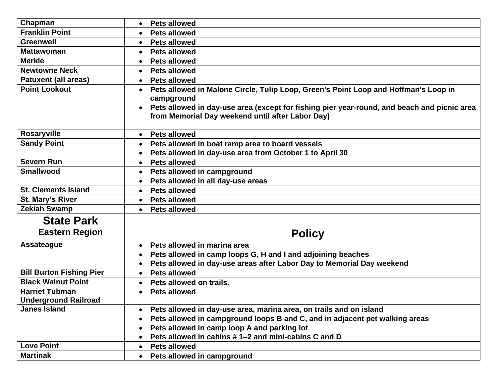| Chapman                                              | <b>Pets allowed</b>                                                                                                                                          |
|------------------------------------------------------|--------------------------------------------------------------------------------------------------------------------------------------------------------------|
| <b>Franklin Point</b>                                | <b>Pets allowed</b>                                                                                                                                          |
| <b>Greenwell</b>                                     | <b>Pets allowed</b><br>$\bullet$                                                                                                                             |
| <b>Mattawoman</b>                                    | <b>Pets allowed</b>                                                                                                                                          |
| <b>Merkle</b>                                        | <b>Pets allowed</b><br>$\bullet$                                                                                                                             |
| <b>Newtowne Neck</b>                                 | <b>Pets allowed</b>                                                                                                                                          |
| <b>Patuxent (all areas)</b>                          | <b>Pets allowed</b><br>$\bullet$                                                                                                                             |
| <b>Point Lookout</b>                                 | Pets allowed in Malone Circle, Tulip Loop, Green's Point Loop and Hoffman's Loop in<br>campground                                                            |
|                                                      | Pets allowed in day-use area (except for fishing pier year-round, and beach and picnic area<br>$\bullet$<br>from Memorial Day weekend until after Labor Day) |
| <b>Rosaryville</b>                                   | • Pets allowed                                                                                                                                               |
| <b>Sandy Point</b>                                   | Pets allowed in boat ramp area to board vessels                                                                                                              |
|                                                      | Pets allowed in day-use area from October 1 to April 30                                                                                                      |
| <b>Severn Run</b>                                    | <b>Pets allowed</b><br>$\bullet$                                                                                                                             |
| <b>Smallwood</b>                                     | Pets allowed in campground                                                                                                                                   |
|                                                      | Pets allowed in all day-use areas                                                                                                                            |
| <b>St. Clements Island</b>                           | • Pets allowed                                                                                                                                               |
| St. Mary's River                                     | <b>Pets allowed</b><br>$\bullet$                                                                                                                             |
| <b>Zekiah Swamp</b>                                  | <b>Pets allowed</b><br>$\bullet$                                                                                                                             |
| <b>State Park</b>                                    |                                                                                                                                                              |
| <b>Eastern Region</b>                                | <b>Policy</b>                                                                                                                                                |
| <b>Assateague</b>                                    | Pets allowed in marina area                                                                                                                                  |
|                                                      | Pets allowed in camp loops G, H and I and adjoining beaches                                                                                                  |
|                                                      | Pets allowed in day-use areas after Labor Day to Memorial Day weekend                                                                                        |
| <b>Bill Burton Fishing Pier</b>                      | <b>Pets allowed</b><br>$\bullet$                                                                                                                             |
| <b>Black Walnut Point</b>                            | Pets allowed on trails.<br>$\bullet$                                                                                                                         |
| <b>Harriet Tubman</b><br><b>Underground Railroad</b> | • Pets allowed                                                                                                                                               |
| <b>Janes Island</b>                                  | Pets allowed in day-use area, marina area, on trails and on island                                                                                           |
|                                                      | Pets allowed in campground loops B and C, and in adjacent pet walking areas                                                                                  |
|                                                      | Pets allowed in camp loop A and parking lot                                                                                                                  |
|                                                      | Pets allowed in cabins #1-2 and mini-cabins C and D                                                                                                          |
| <b>Love Point</b>                                    | <b>Pets allowed</b><br>$\bullet$                                                                                                                             |
| <b>Martinak</b>                                      | Pets allowed in campground                                                                                                                                   |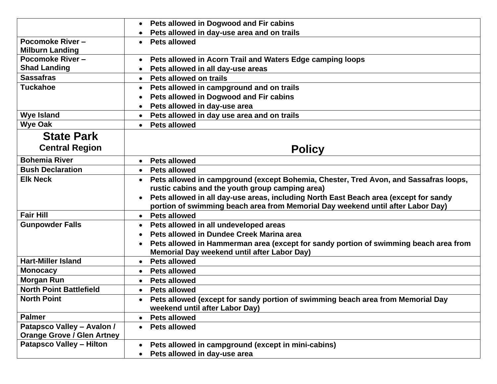|                                   | Pets allowed in Dogwood and Fir cabins                                               |
|-----------------------------------|--------------------------------------------------------------------------------------|
|                                   | Pets allowed in day-use area and on trails<br>$\bullet$                              |
| Pocomoke River-                   | <b>Pets allowed</b><br>$\bullet$                                                     |
| <b>Milburn Landing</b>            |                                                                                      |
| Pocomoke River-                   | Pets allowed in Acorn Trail and Waters Edge camping loops                            |
| <b>Shad Landing</b>               | Pets allowed in all day-use areas                                                    |
| <b>Sassafras</b>                  | Pets allowed on trails<br>$\bullet$                                                  |
| <b>Tuckahoe</b>                   | Pets allowed in campground and on trails<br>$\bullet$                                |
|                                   | Pets allowed in Dogwood and Fir cabins                                               |
|                                   | Pets allowed in day-use area                                                         |
| <b>Wye Island</b>                 | • Pets allowed in day use area and on trails                                         |
| <b>Wye Oak</b>                    | <b>Pets allowed</b><br>$\bullet$                                                     |
| <b>State Park</b>                 |                                                                                      |
| <b>Central Region</b>             | <b>Policy</b>                                                                        |
| <b>Bohemia River</b>              | • Pets allowed                                                                       |
| <b>Bush Declaration</b>           | <b>Pets allowed</b><br>$\bullet$                                                     |
| <b>Elk Neck</b>                   | Pets allowed in campground (except Bohemia, Chester, Tred Avon, and Sassafras loops, |
|                                   | rustic cabins and the youth group camping area)                                      |
|                                   | Pets allowed in all day-use areas, including North East Beach area (except for sandy |
|                                   | portion of swimming beach area from Memorial Day weekend until after Labor Day)      |
| <b>Fair Hill</b>                  | <b>Pets allowed</b><br>$\bullet$                                                     |
| <b>Gunpowder Falls</b>            | Pets allowed in all undeveloped areas                                                |
|                                   | Pets allowed in Dundee Creek Marina area                                             |
|                                   | Pets allowed in Hammerman area (except for sandy portion of swimming beach area from |
|                                   | Memorial Day weekend until after Labor Day)                                          |
| <b>Hart-Miller Island</b>         | <b>Pets allowed</b>                                                                  |
| <b>Monocacy</b>                   | <b>Pets allowed</b>                                                                  |
| <b>Morgan Run</b>                 | <b>Pets allowed</b><br>$\bullet$                                                     |
| <b>North Point Battlefield</b>    | <b>Pets allowed</b>                                                                  |
| <b>North Point</b>                | Pets allowed (except for sandy portion of swimming beach area from Memorial Day      |
|                                   | weekend until after Labor Day)                                                       |
| <b>Palmer</b>                     | <b>Pets allowed</b><br>$\bullet$                                                     |
| Patapsco Valley - Avalon /        | <b>Pets allowed</b><br>$\bullet$                                                     |
| <b>Orange Grove / Glen Artney</b> |                                                                                      |
| <b>Patapsco Valley - Hilton</b>   | Pets allowed in campground (except in mini-cabins)<br>$\bullet$                      |
|                                   | Pets allowed in day-use area                                                         |